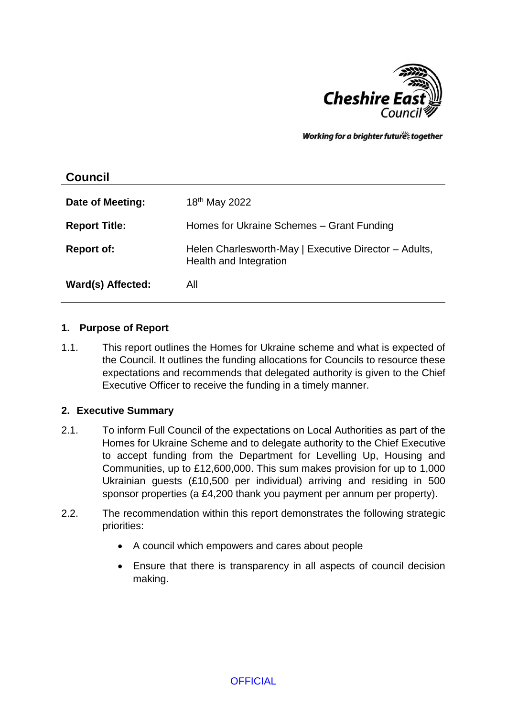

Working for a brighter futures together

| <b>Council</b>       |                                                                                 |
|----------------------|---------------------------------------------------------------------------------|
| Date of Meeting:     | 18 <sup>th</sup> May 2022                                                       |
| <b>Report Title:</b> | Homes for Ukraine Schemes - Grant Funding                                       |
| <b>Report of:</b>    | Helen Charlesworth-May   Executive Director - Adults,<br>Health and Integration |
| Ward(s) Affected:    | All                                                                             |

#### **1. Purpose of Report**

1.1. This report outlines the Homes for Ukraine scheme and what is expected of the Council. It outlines the funding allocations for Councils to resource these expectations and recommends that delegated authority is given to the Chief Executive Officer to receive the funding in a timely manner.

#### **2. Executive Summary**

- 2.1. To inform Full Council of the expectations on Local Authorities as part of the Homes for Ukraine Scheme and to delegate authority to the Chief Executive to accept funding from the Department for Levelling Up, Housing and Communities, up to £12,600,000. This sum makes provision for up to 1,000 Ukrainian guests (£10,500 per individual) arriving and residing in 500 sponsor properties (a £4,200 thank you payment per annum per property).
- 2.2. The recommendation within this report demonstrates the following strategic priorities:
	- A council which empowers and cares about people
	- Ensure that there is transparency in all aspects of council decision making.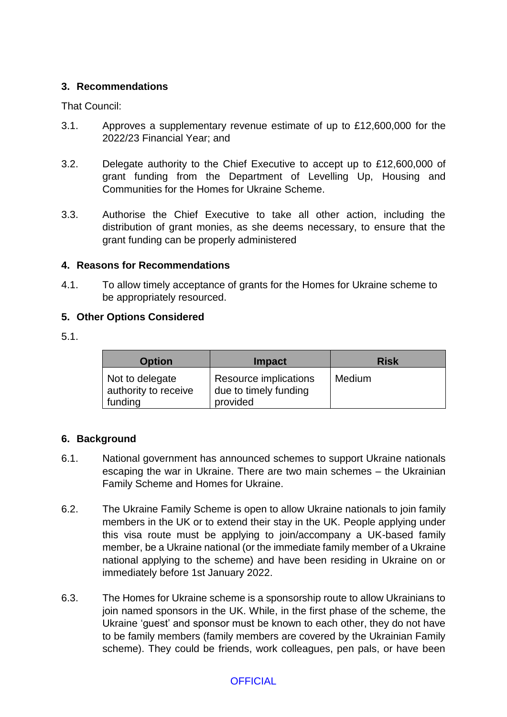### **3. Recommendations**

That Council:

- 3.1. Approves a supplementary revenue estimate of up to £12,600,000 for the 2022/23 Financial Year; and
- 3.2. Delegate authority to the Chief Executive to accept up to £12,600,000 of grant funding from the Department of Levelling Up, Housing and Communities for the Homes for Ukraine Scheme.
- 3.3. Authorise the Chief Executive to take all other action, including the distribution of grant monies, as she deems necessary, to ensure that the grant funding can be properly administered

### **4. Reasons for Recommendations**

4.1. To allow timely acceptance of grants for the Homes for Ukraine scheme to be appropriately resourced.

### **5. Other Options Considered**

5.1.

| <b>Option</b>                                      | <b>Impact</b>                                              | <b>Risk</b> |
|----------------------------------------------------|------------------------------------------------------------|-------------|
| Not to delegate<br>authority to receive<br>funding | Resource implications<br>due to timely funding<br>provided | Medium      |

## **6. Background**

- 6.1. National government has announced schemes to support Ukraine nationals escaping the war in Ukraine. There are two main schemes – the Ukrainian Family Scheme and Homes for Ukraine.
- 6.2. The Ukraine Family Scheme is open to allow Ukraine nationals to join family members in the UK or to extend their stay in the UK. People applying under this visa route must be applying to join/accompany a UK-based family member, be a Ukraine national (or the immediate family member of a Ukraine national applying to the scheme) and have been residing in Ukraine on or immediately before 1st January 2022.
- 6.3. The Homes for Ukraine scheme is a sponsorship route to allow Ukrainians to join named sponsors in the UK. While, in the first phase of the scheme, the Ukraine 'guest' and sponsor must be known to each other, they do not have to be family members (family members are covered by the Ukrainian Family scheme). They could be friends, work colleagues, pen pals, or have been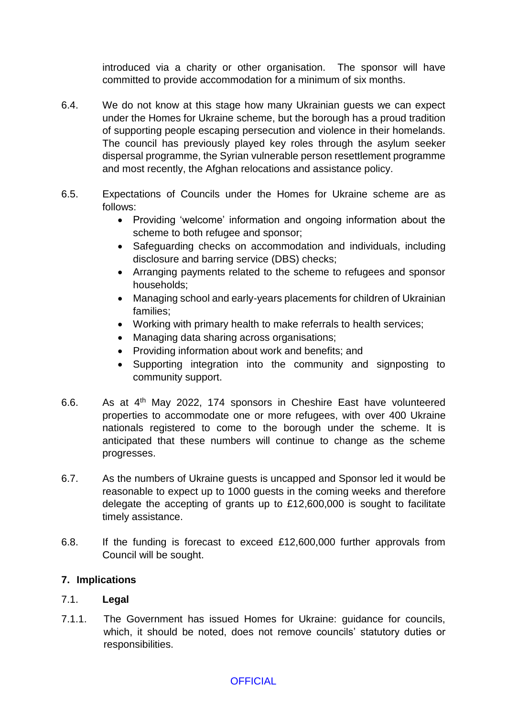introduced via a charity or other organisation. The sponsor will have committed to provide accommodation for a minimum of six months.

- 6.4. We do not know at this stage how many Ukrainian guests we can expect under the Homes for Ukraine scheme, but the borough has a proud tradition of supporting people escaping persecution and violence in their homelands. The council has previously played key roles through the asylum seeker dispersal programme, the Syrian vulnerable person resettlement programme and most recently, the Afghan relocations and assistance policy.
- 6.5. Expectations of Councils under the Homes for Ukraine scheme are as follows:
	- Providing 'welcome' information and ongoing information about the scheme to both refugee and sponsor;
	- Safeguarding checks on accommodation and individuals, including disclosure and barring service (DBS) checks;
	- Arranging payments related to the scheme to refugees and sponsor households;
	- Managing school and early-years placements for children of Ukrainian families;
	- Working with primary health to make referrals to health services;
	- Managing data sharing across organisations;
	- Providing information about work and benefits: and
	- Supporting integration into the community and signposting to community support.
- 6.6. As at 4th May 2022, 174 sponsors in Cheshire East have volunteered properties to accommodate one or more refugees, with over 400 Ukraine nationals registered to come to the borough under the scheme. It is anticipated that these numbers will continue to change as the scheme progresses.
- 6.7. As the numbers of Ukraine guests is uncapped and Sponsor led it would be reasonable to expect up to 1000 guests in the coming weeks and therefore delegate the accepting of grants up to £12,600,000 is sought to facilitate timely assistance.
- 6.8. If the funding is forecast to exceed £12,600,000 further approvals from Council will be sought.

## **7. Implications**

## 7.1. **Legal**

7.1.1. The Government has issued Homes for Ukraine: guidance for councils, which, it should be noted, does not remove councils' statutory duties or responsibilities.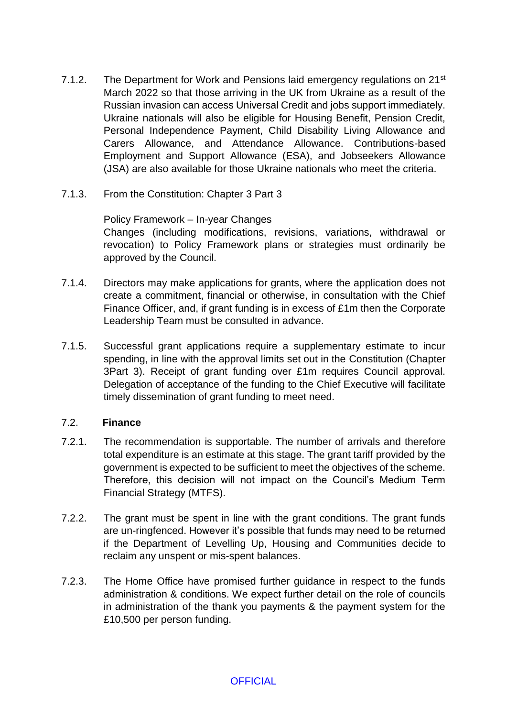- 7.1.2. The Department for Work and Pensions laid emergency regulations on 21<sup>st</sup> March 2022 so that those arriving in the UK from Ukraine as a result of the Russian invasion can access Universal Credit and jobs support immediately. Ukraine nationals will also be eligible for Housing Benefit, Pension Credit, Personal Independence Payment, Child Disability Living Allowance and Carers Allowance, and Attendance Allowance. Contributions-based Employment and Support Allowance (ESA), and Jobseekers Allowance (JSA) are also available for those Ukraine nationals who meet the criteria.
- 7.1.3. From the Constitution: Chapter 3 Part 3

Policy Framework – In-year Changes Changes (including modifications, revisions, variations, withdrawal or revocation) to Policy Framework plans or strategies must ordinarily be approved by the Council.

- 7.1.4. Directors may make applications for grants, where the application does not create a commitment, financial or otherwise, in consultation with the Chief Finance Officer, and, if grant funding is in excess of £1m then the Corporate Leadership Team must be consulted in advance.
- 7.1.5. Successful grant applications require a supplementary estimate to incur spending, in line with the approval limits set out in the Constitution (Chapter 3Part 3). Receipt of grant funding over £1m requires Council approval. Delegation of acceptance of the funding to the Chief Executive will facilitate timely dissemination of grant funding to meet need.

#### 7.2. **Finance**

- 7.2.1. The recommendation is supportable. The number of arrivals and therefore total expenditure is an estimate at this stage. The grant tariff provided by the government is expected to be sufficient to meet the objectives of the scheme. Therefore, this decision will not impact on the Council's Medium Term Financial Strategy (MTFS).
- 7.2.2. The grant must be spent in line with the grant conditions. The grant funds are un-ringfenced. However it's possible that funds may need to be returned if the Department of Levelling Up, Housing and Communities decide to reclaim any unspent or mis-spent balances.
- 7.2.3. The Home Office have promised further guidance in respect to the funds administration & conditions. We expect further detail on the role of councils in administration of the thank you payments & the payment system for the £10,500 per person funding.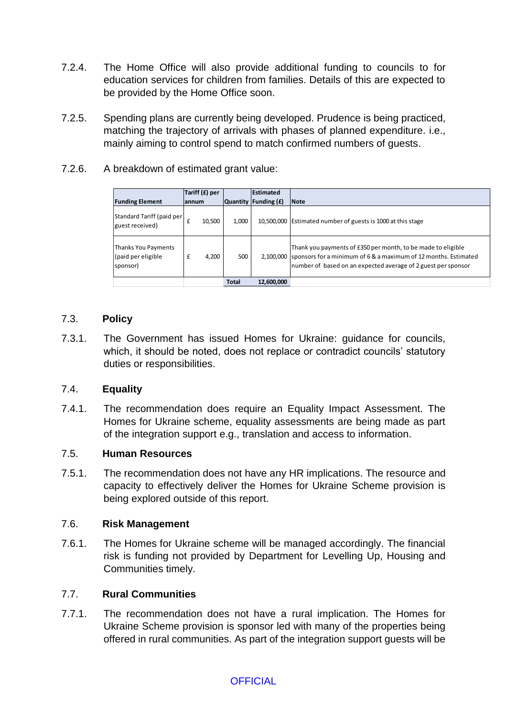- 7.2.4. The Home Office will also provide additional funding to councils to for education services for children from families. Details of this are expected to be provided by the Home Office soon.
- 7.2.5. Spending plans are currently being developed. Prudence is being practiced, matching the trajectory of arrivals with phases of planned expenditure. i.e., mainly aiming to control spend to match confirmed numbers of guests.
- 7.2.6. A breakdown of estimated grant value:

|                                                       | Tariff (£) per |              | <b>Estimated</b>     |                                                                                                                                                                                                            |
|-------------------------------------------------------|----------------|--------------|----------------------|------------------------------------------------------------------------------------------------------------------------------------------------------------------------------------------------------------|
| <b>Funding Element</b>                                | lannum         |              | Quantity Funding (£) | <b>Note</b>                                                                                                                                                                                                |
| Standard Tariff (paid per<br>guest received)          | 10,500         | 1.000        |                      | 10,500,000 Estimated number of guests is 1000 at this stage                                                                                                                                                |
| Thanks You Payments<br>(paid per eligible<br>sponsor) | 4.200<br>£     | 500          |                      | Thank you payments of £350 per month, to be made to eligible<br>2,100,000 sponsors for a minimum of 6 & a maximum of 12 months. Estimated<br>number of based on an expected average of 2 guest per sponsor |
|                                                       |                | <b>Total</b> | 12.600.000           |                                                                                                                                                                                                            |

### 7.3. **Policy**

7.3.1. The Government has issued Homes for Ukraine: guidance for councils, which, it should be noted, does not replace or contradict councils' statutory duties or responsibilities.

#### 7.4. **Equality**

7.4.1. The recommendation does require an Equality Impact Assessment. The Homes for Ukraine scheme, equality assessments are being made as part of the integration support e.g., translation and access to information.

### 7.5. **Human Resources**

7.5.1. The recommendation does not have any HR implications. The resource and capacity to effectively deliver the Homes for Ukraine Scheme provision is being explored outside of this report.

#### 7.6. **Risk Management**

7.6.1. The Homes for Ukraine scheme will be managed accordingly. The financial risk is funding not provided by Department for Levelling Up, Housing and Communities timely.

### 7.7. **Rural Communities**

7.7.1. The recommendation does not have a rural implication. The Homes for Ukraine Scheme provision is sponsor led with many of the properties being offered in rural communities. As part of the integration support guests will be